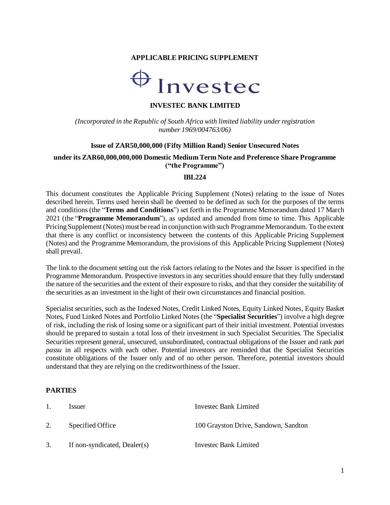### **APPLICABLE PRICING SUPPLEMENT**



### **INVESTEC BANK LIMITED**

*(Incorporated in the Republic of South Africa with limited liability under registration number 1969/004763/06)*

#### **Issue of ZAR50,000,000 (Fifty Million Rand) Senior Unsecured Notes**

### **under its ZAR60,000,000,000 Domestic Medium Term Note and Preference Share Programme ("the Programme")**

#### **IBL224**

This document constitutes the Applicable Pricing Supplement (Notes) relating to the issue of Notes described herein. Terms used herein shall be deemed to be defined as such for the purposes of the terms and conditions (the "**Terms and Conditions**") set forth in the Programme Memorandum dated 17 March 2021 (the "**Programme Memorandum**"), as updated and amended from time to time. This Applicable Pricing Supplement(Notes) must be read in conjunction with such Programme Memorandum. To the extent that there is any conflict or inconsistency between the contents of this Applicable Pricing Supplement (Notes) and the Programme Memorandum, the provisions of this Applicable Pricing Supplement (Notes) shall prevail.

The link to the document setting out the risk factors relating to the Notes and the Issuer is specified in the Programme Memorandum. Prospective investors in any securities should ensure that they fully understand the nature of the securities and the extent of their exposure to risks, and that they consider the suitability of the securities as an investment in the light of their own circumstances and financial position.

Specialist securities, such as the Indexed Notes, Credit Linked Notes, Equity Linked Notes, Equity Basket Notes, Fund Linked Notes and Portfolio Linked Notes (the "**Specialist Securities**") involve a high degree of risk, including the risk of losing some or a significant part of their initial investment. Potential investors should be prepared to sustain a total loss of their investment in such Specialist Securities. The Specialist Securities represent general, unsecured, unsubordinated, contractual obligations of the Issuer and rank *pari passu* in all respects with each other. Potential investors are reminded that the Specialist Securities constitute obligations of the Issuer only and of no other person. Therefore, potential investors should understand that they are relying on the creditworthiness of the Issuer.

#### **PARTIES**

| 1. | <i>Issuer</i>                | Invested Bank Limited                |
|----|------------------------------|--------------------------------------|
| 2. | Specified Office             | 100 Grayston Drive, Sandown, Sandton |
|    | If non-syndicated, Dealer(s) | Investec Bank Limited                |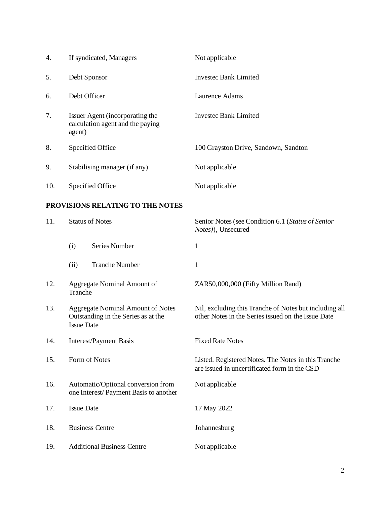| 4.  | If syndicated, Managers                                                                              |                                                                     | Not applicable                                                                                               |
|-----|------------------------------------------------------------------------------------------------------|---------------------------------------------------------------------|--------------------------------------------------------------------------------------------------------------|
| 5.  | Debt Sponsor                                                                                         |                                                                     | <b>Investec Bank Limited</b>                                                                                 |
| 6.  | Debt Officer                                                                                         |                                                                     | Laurence Adams                                                                                               |
| 7.  | agent)                                                                                               | Issuer Agent (incorporating the<br>calculation agent and the paying | <b>Investec Bank Limited</b>                                                                                 |
| 8.  |                                                                                                      | Specified Office                                                    | 100 Grayston Drive, Sandown, Sandton                                                                         |
| 9.  |                                                                                                      | Stabilising manager (if any)                                        | Not applicable                                                                                               |
| 10. | Specified Office                                                                                     |                                                                     | Not applicable                                                                                               |
|     |                                                                                                      | PROVISIONS RELATING TO THE NOTES                                    |                                                                                                              |
| 11. | <b>Status of Notes</b>                                                                               |                                                                     | Senior Notes (see Condition 6.1 (Status of Senior<br>Notes)), Unsecured                                      |
|     | (i)                                                                                                  | <b>Series Number</b>                                                | 1                                                                                                            |
|     | (ii)                                                                                                 | <b>Tranche Number</b>                                               | $\mathbf{1}$                                                                                                 |
| 12. | Aggregate Nominal Amount of<br>Tranche                                                               |                                                                     | ZAR50,000,000 (Fifty Million Rand)                                                                           |
| 13. | <b>Aggregate Nominal Amount of Notes</b><br>Outstanding in the Series as at the<br><b>Issue Date</b> |                                                                     | Nil, excluding this Tranche of Notes but including all<br>other Notes in the Series issued on the Issue Date |
| 14. | <b>Interest/Payment Basis</b>                                                                        |                                                                     | <b>Fixed Rate Notes</b>                                                                                      |

- 15. Form of Notes Listed. Registered Notes. The Notes in this Tranche
- 16. Automatic/Optional conversion from one Interest/ Payment Basis to another

17. Issue Date 17 May 2022 18. Business Centre **Johannesburg** 

19. Additional Business Centre Not applicable

Not applicable

are issued in uncertificated form in the CSD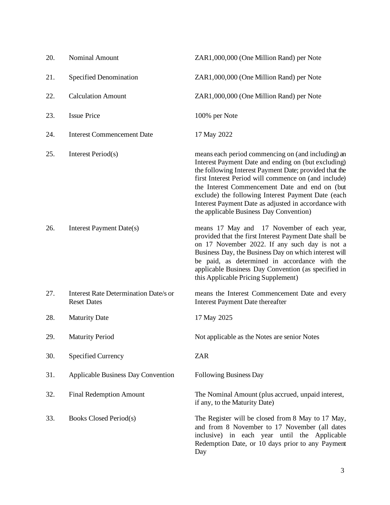| 20. | <b>Nominal Amount</b>                                              | ZAR1,000,000 (One Million Rand) per Note                                                                                                                                                                                                                                                                                                                                                                                               |
|-----|--------------------------------------------------------------------|----------------------------------------------------------------------------------------------------------------------------------------------------------------------------------------------------------------------------------------------------------------------------------------------------------------------------------------------------------------------------------------------------------------------------------------|
| 21. | <b>Specified Denomination</b>                                      | ZAR1,000,000 (One Million Rand) per Note                                                                                                                                                                                                                                                                                                                                                                                               |
| 22. | <b>Calculation Amount</b>                                          | ZAR1,000,000 (One Million Rand) per Note                                                                                                                                                                                                                                                                                                                                                                                               |
| 23. | <b>Issue Price</b>                                                 | 100% per Note                                                                                                                                                                                                                                                                                                                                                                                                                          |
| 24. | <b>Interest Commencement Date</b>                                  | 17 May 2022                                                                                                                                                                                                                                                                                                                                                                                                                            |
| 25. | Interest Period(s)                                                 | means each period commencing on (and including) an<br>Interest Payment Date and ending on (but excluding)<br>the following Interest Payment Date; provided that the<br>first Interest Period will commence on (and include)<br>the Interest Commencement Date and end on (but<br>exclude) the following Interest Payment Date (each<br>Interest Payment Date as adjusted in accordance with<br>the applicable Business Day Convention) |
| 26. | Interest Payment Date(s)                                           | means 17 May and 17 November of each year,<br>provided that the first Interest Payment Date shall be<br>on 17 November 2022. If any such day is not a<br>Business Day, the Business Day on which interest will<br>be paid, as determined in accordance with the<br>applicable Business Day Convention (as specified in<br>this Applicable Pricing Supplement)                                                                          |
| 27. | <b>Interest Rate Determination Date/s or</b><br><b>Reset Dates</b> | means the Interest Commencement Date and every<br><b>Interest Payment Date thereafter</b>                                                                                                                                                                                                                                                                                                                                              |
| 28. | <b>Maturity Date</b>                                               | 17 May 2025                                                                                                                                                                                                                                                                                                                                                                                                                            |
| 29. | <b>Maturity Period</b>                                             | Not applicable as the Notes are senior Notes                                                                                                                                                                                                                                                                                                                                                                                           |
| 30. | <b>Specified Currency</b>                                          | <b>ZAR</b>                                                                                                                                                                                                                                                                                                                                                                                                                             |
| 31. | <b>Applicable Business Day Convention</b>                          | <b>Following Business Day</b>                                                                                                                                                                                                                                                                                                                                                                                                          |
| 32. | <b>Final Redemption Amount</b>                                     | The Nominal Amount (plus accrued, unpaid interest,<br>if any, to the Maturity Date)                                                                                                                                                                                                                                                                                                                                                    |
| 33. | Books Closed Period(s)                                             | The Register will be closed from 8 May to 17 May,<br>and from 8 November to 17 November (all dates<br>inclusive) in each year until the Applicable<br>Redemption Date, or 10 days prior to any Payment<br>Day                                                                                                                                                                                                                          |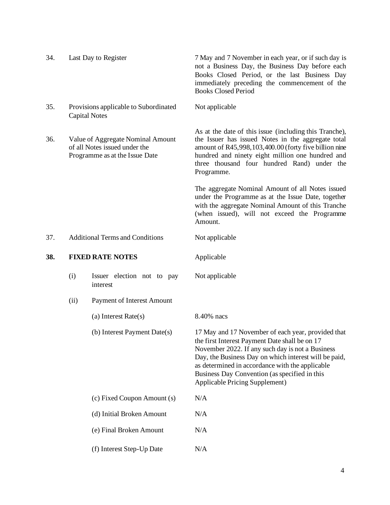| 34. |                                                                                                      | Last Day to Register                                          | 7 May and 7 November in each year, or if such day is<br>not a Business Day, the Business Day before each<br>Books Closed Period, or the last Business Day<br>immediately preceding the commencement of the<br><b>Books Closed Period</b>                                                                                                                       |
|-----|------------------------------------------------------------------------------------------------------|---------------------------------------------------------------|----------------------------------------------------------------------------------------------------------------------------------------------------------------------------------------------------------------------------------------------------------------------------------------------------------------------------------------------------------------|
| 35. |                                                                                                      | Provisions applicable to Subordinated<br><b>Capital Notes</b> | Not applicable                                                                                                                                                                                                                                                                                                                                                 |
| 36. | Value of Aggregate Nominal Amount<br>of all Notes issued under the<br>Programme as at the Issue Date |                                                               | As at the date of this issue (including this Tranche),<br>the Issuer has issued Notes in the aggregate total<br>amount of R45,998,103,400.00 (forty five billion nine<br>hundred and ninety eight million one hundred and<br>three thousand four hundred Rand) under the<br>Programme.                                                                         |
|     |                                                                                                      |                                                               | The aggregate Nominal Amount of all Notes issued<br>under the Programme as at the Issue Date, together<br>with the aggregate Nominal Amount of this Tranche<br>(when issued), will not exceed the Programme<br>Amount.                                                                                                                                         |
| 37. |                                                                                                      | <b>Additional Terms and Conditions</b>                        | Not applicable                                                                                                                                                                                                                                                                                                                                                 |
| 38. |                                                                                                      | <b>FIXED RATE NOTES</b>                                       | Applicable                                                                                                                                                                                                                                                                                                                                                     |
|     | (i)                                                                                                  | Issuer election not to pay<br>interest                        | Not applicable                                                                                                                                                                                                                                                                                                                                                 |
|     | (ii)                                                                                                 | Payment of Interest Amount                                    |                                                                                                                                                                                                                                                                                                                                                                |
|     |                                                                                                      | (a) Interest Rate(s)                                          | 8.40% nacs                                                                                                                                                                                                                                                                                                                                                     |
|     |                                                                                                      | (b) Interest Payment Date(s)                                  | 17 May and 17 November of each year, provided that<br>the first Interest Payment Date shall be on 17<br>November 2022. If any such day is not a Business<br>Day, the Business Day on which interest will be paid,<br>as determined in accordance with the applicable<br>Business Day Convention (as specified in this<br><b>Applicable Pricing Supplement)</b> |
|     |                                                                                                      | (c) Fixed Coupon Amount (s)                                   | N/A                                                                                                                                                                                                                                                                                                                                                            |
|     |                                                                                                      | (d) Initial Broken Amount                                     | N/A                                                                                                                                                                                                                                                                                                                                                            |
|     |                                                                                                      | (e) Final Broken Amount                                       | N/A                                                                                                                                                                                                                                                                                                                                                            |
|     |                                                                                                      | (f) Interest Step-Up Date                                     | N/A                                                                                                                                                                                                                                                                                                                                                            |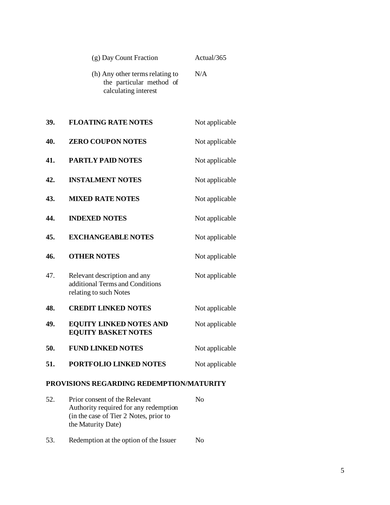|     | (g) Day Count Fraction                                                                    | Actual/365     |
|-----|-------------------------------------------------------------------------------------------|----------------|
|     | (h) Any other terms relating to<br>the particular method of<br>calculating interest       | N/A            |
| 39. | <b>FLOATING RATE NOTES</b>                                                                | Not applicable |
| 40. | <b>ZERO COUPON NOTES</b>                                                                  | Not applicable |
| 41. | <b>PARTLY PAID NOTES</b>                                                                  | Not applicable |
| 42. | <b>INSTALMENT NOTES</b>                                                                   | Not applicable |
| 43. | <b>MIXED RATE NOTES</b>                                                                   | Not applicable |
| 44. | <b>INDEXED NOTES</b>                                                                      | Not applicable |
| 45. | <b>EXCHANGEABLE NOTES</b>                                                                 | Not applicable |
| 46. | <b>OTHER NOTES</b>                                                                        | Not applicable |
| 47. | Relevant description and any<br>additional Terms and Conditions<br>relating to such Notes | Not applicable |
| 48. | <b>CREDIT LINKED NOTES</b>                                                                | Not applicable |
| 49. | <b>EQUITY LINKED NOTES AND</b><br><b>EQUITY BASKET NOTES</b>                              | Not applicable |
| 50. | <b>FUND LINKED NOTES</b>                                                                  | Not applicable |
| 51. | <b>PORTFOLIO LINKED NOTES</b>                                                             | Not applicable |

# **PROVISIONS REGARDING REDEMPTION/MATURITY**

- 52. Prior consent of the Relevant Authority required for any redemption (in the case of Tier 2 Notes, prior to the Maturity Date) No
- 53. Redemption at the option of the Issuer No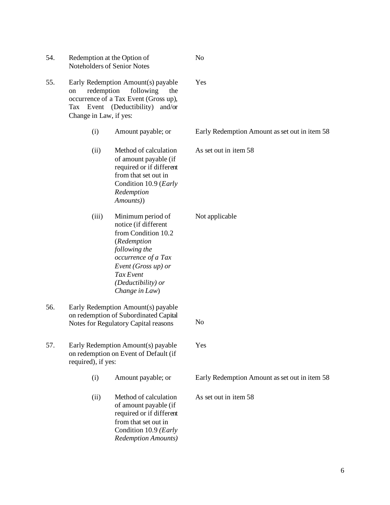| 54. |                                            | Redemption at the Option of<br>Noteholders of Senior Notes                                                                                                                                          | No                                            |
|-----|--------------------------------------------|-----------------------------------------------------------------------------------------------------------------------------------------------------------------------------------------------------|-----------------------------------------------|
| 55. | redemption<br>on<br>Change in Law, if yes: | Early Redemption Amount(s) payable<br>following<br>the<br>occurrence of a Tax Event (Gross up),<br>Tax Event (Deductibility)<br>and/or                                                              | Yes                                           |
|     | (i)                                        | Amount payable; or                                                                                                                                                                                  | Early Redemption Amount as set out in item 58 |
|     | (ii)                                       | Method of calculation<br>of amount payable (if<br>required or if different<br>from that set out in<br>Condition 10.9 (Early<br>Redemption<br>Amounts))                                              | As set out in item 58                         |
|     | (iii)                                      | Minimum period of<br>notice (if different<br>from Condition 10.2<br>(Redemption<br>following the<br>occurrence of a Tax<br>Event (Gross up) or<br>Tax Event<br>(Deductibility) or<br>Change in Law) | Not applicable                                |
| 56. |                                            | Early Redemption Amount(s) payable<br>on redemption of Subordinated Capital<br>Notes for Regulatory Capital reasons                                                                                 | N <sub>o</sub>                                |
| 57. | required), if yes:                         | Early Redemption Amount(s) payable<br>on redemption on Event of Default (if                                                                                                                         | Yes                                           |
|     | (i)                                        | Amount payable; or                                                                                                                                                                                  | Early Redemption Amount as set out in item 58 |
|     | (ii)                                       | Method of calculation<br>of amount payable (if<br>required or if different<br>from that set out in<br>Condition 10.9 (Early<br><b>Redemption Amounts)</b>                                           | As set out in item 58                         |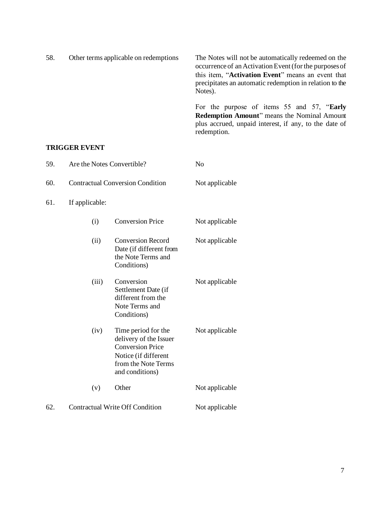| 58. | Other terms applicable on redemptions | The Notes will not be automatically redeemed on the<br>occurrence of an Activation Event (for the purposes of<br>this item, "Activation Event" means an event that<br>precipitates an automatic redemption in relation to the<br>Notes). |
|-----|---------------------------------------|------------------------------------------------------------------------------------------------------------------------------------------------------------------------------------------------------------------------------------------|
|     |                                       | For the purpose of items 55 and 57, "Early<br><b>Redemption Amount</b> " means the Nominal Amount<br>plus accrued, unpaid interest, if any, to the date of<br>redemption.                                                                |

### **TRIGGER EVENT**

| 59. | Are the Notes Convertible?              |                                                                                                                                            | N <sub>o</sub> |
|-----|-----------------------------------------|--------------------------------------------------------------------------------------------------------------------------------------------|----------------|
| 60. | <b>Contractual Conversion Condition</b> |                                                                                                                                            | Not applicable |
| 61. | If applicable:                          |                                                                                                                                            |                |
|     | (i)                                     | <b>Conversion Price</b>                                                                                                                    | Not applicable |
|     | (ii)                                    | <b>Conversion Record</b><br>Date (if different from<br>the Note Terms and<br>Conditions)                                                   | Not applicable |
|     | (iii)                                   | Conversion<br>Settlement Date (if<br>different from the<br>Note Terms and<br>Conditions)                                                   | Not applicable |
|     | (iv)                                    | Time period for the<br>delivery of the Issuer<br><b>Conversion Price</b><br>Notice (if different<br>from the Note Terms<br>and conditions) | Not applicable |
|     | (v)                                     | Other                                                                                                                                      | Not applicable |
| 62. |                                         | <b>Contractual Write Off Condition</b>                                                                                                     | Not applicable |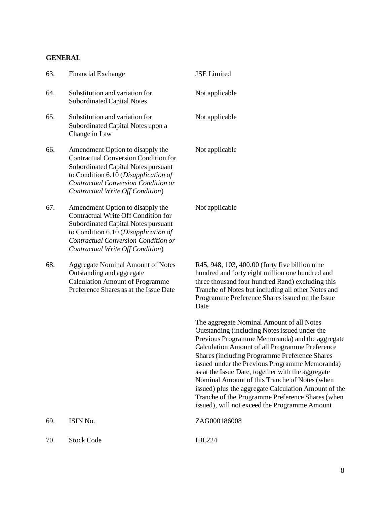### **GENERAL**

| 63. | <b>Financial Exchange</b>                                                                                                                                                                                                                 | <b>JSE</b> Limited                                                                                                                                                                                                                                                                                                                                                                                                                                                                                                                                                           |
|-----|-------------------------------------------------------------------------------------------------------------------------------------------------------------------------------------------------------------------------------------------|------------------------------------------------------------------------------------------------------------------------------------------------------------------------------------------------------------------------------------------------------------------------------------------------------------------------------------------------------------------------------------------------------------------------------------------------------------------------------------------------------------------------------------------------------------------------------|
| 64. | Substitution and variation for<br><b>Subordinated Capital Notes</b>                                                                                                                                                                       | Not applicable                                                                                                                                                                                                                                                                                                                                                                                                                                                                                                                                                               |
| 65. | Substitution and variation for<br>Subordinated Capital Notes upon a<br>Change in Law                                                                                                                                                      | Not applicable                                                                                                                                                                                                                                                                                                                                                                                                                                                                                                                                                               |
| 66. | Amendment Option to disapply the<br><b>Contractual Conversion Condition for</b><br>Subordinated Capital Notes pursuant<br>to Condition 6.10 (Disapplication of<br>Contractual Conversion Condition or<br>Contractual Write Off Condition) | Not applicable                                                                                                                                                                                                                                                                                                                                                                                                                                                                                                                                                               |
| 67. | Amendment Option to disapply the<br>Contractual Write Off Condition for<br><b>Subordinated Capital Notes pursuant</b><br>to Condition 6.10 (Disapplication of<br>Contractual Conversion Condition or<br>Contractual Write Off Condition)  | Not applicable                                                                                                                                                                                                                                                                                                                                                                                                                                                                                                                                                               |
| 68. | <b>Aggregate Nominal Amount of Notes</b><br>Outstanding and aggregate<br><b>Calculation Amount of Programme</b><br>Preference Shares as at the Issue Date                                                                                 | R45, 948, 103, 400.00 (forty five billion nine<br>hundred and forty eight million one hundred and<br>three thousand four hundred Rand) excluding this<br>Tranche of Notes but including all other Notes and<br>Programme Preference Shares issued on the Issue<br>Date                                                                                                                                                                                                                                                                                                       |
|     |                                                                                                                                                                                                                                           | The aggregate Nominal Amount of all Notes<br>Outstanding (including Notes issued under the<br>Previous Programme Memoranda) and the aggregate<br>Calculation Amount of all Programme Preference<br><b>Shares (including Programme Preference Shares</b><br>issued under the Previous Programme Memoranda)<br>as at the Issue Date, together with the aggregate<br>Nominal Amount of this Tranche of Notes (when<br>issued) plus the aggregate Calculation Amount of the<br>Tranche of the Programme Preference Shares (when<br>issued), will not exceed the Programme Amount |
| 69. | ISIN No.                                                                                                                                                                                                                                  | ZAG000186008                                                                                                                                                                                                                                                                                                                                                                                                                                                                                                                                                                 |
| 70. | <b>Stock Code</b>                                                                                                                                                                                                                         | <b>IBL224</b>                                                                                                                                                                                                                                                                                                                                                                                                                                                                                                                                                                |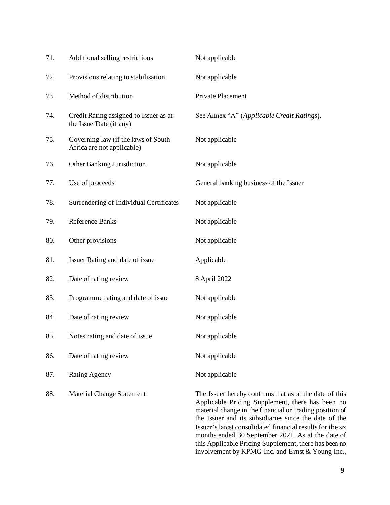| 71. | Additional selling restrictions                                   | Not applicable                                                                                                                                                                                                                                                                                                                                    |
|-----|-------------------------------------------------------------------|---------------------------------------------------------------------------------------------------------------------------------------------------------------------------------------------------------------------------------------------------------------------------------------------------------------------------------------------------|
| 72. | Provisions relating to stabilisation                              | Not applicable                                                                                                                                                                                                                                                                                                                                    |
| 73. | Method of distribution                                            | Private Placement                                                                                                                                                                                                                                                                                                                                 |
| 74. | Credit Rating assigned to Issuer as at<br>the Issue Date (if any) | See Annex "A" (Applicable Credit Ratings).                                                                                                                                                                                                                                                                                                        |
| 75. | Governing law (if the laws of South<br>Africa are not applicable) | Not applicable                                                                                                                                                                                                                                                                                                                                    |
| 76. | Other Banking Jurisdiction                                        | Not applicable                                                                                                                                                                                                                                                                                                                                    |
| 77. | Use of proceeds                                                   | General banking business of the Issuer                                                                                                                                                                                                                                                                                                            |
| 78. | Surrendering of Individual Certificates                           | Not applicable                                                                                                                                                                                                                                                                                                                                    |
| 79. | <b>Reference Banks</b>                                            | Not applicable                                                                                                                                                                                                                                                                                                                                    |
| 80. | Other provisions                                                  | Not applicable                                                                                                                                                                                                                                                                                                                                    |
| 81. | Issuer Rating and date of issue                                   | Applicable                                                                                                                                                                                                                                                                                                                                        |
| 82. | Date of rating review                                             | 8 April 2022                                                                                                                                                                                                                                                                                                                                      |
| 83. | Programme rating and date of issue                                | Not applicable                                                                                                                                                                                                                                                                                                                                    |
| 84. | Date of rating review                                             | Not applicable                                                                                                                                                                                                                                                                                                                                    |
| 85. | Notes rating and date of issue.                                   | Not applicable                                                                                                                                                                                                                                                                                                                                    |
| 86. | Date of rating review                                             | Not applicable                                                                                                                                                                                                                                                                                                                                    |
| 87. | <b>Rating Agency</b>                                              | Not applicable                                                                                                                                                                                                                                                                                                                                    |
| 88. | <b>Material Change Statement</b>                                  | The Issuer hereby confirms that as at the date of this<br>Applicable Pricing Supplement, there has been no<br>material change in the financial or trading position of<br>the Issuer and its subsidiaries since the date of the<br>Issuer's latest consolidated financial results for the six<br>months ended 30 September 2021. As at the date of |

this Applicable Pricing Supplement, there has been no involvement by KPMG Inc. and Ernst & Young Inc.,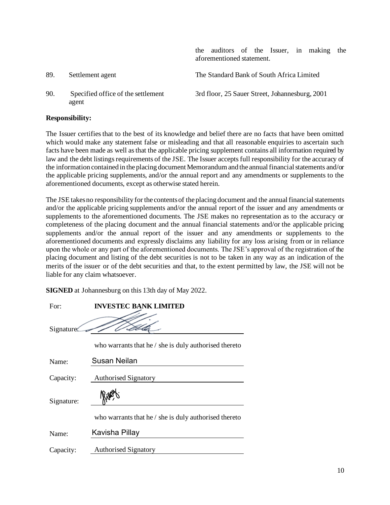|     |                                             | the auditors of the Issuer, in making the<br>aforementioned statement. |
|-----|---------------------------------------------|------------------------------------------------------------------------|
| 89. | Settlement agent                            | The Standard Bank of South Africa Limited                              |
| 90. | Specified office of the settlement<br>agent | 3rd floor, 25 Sauer Street, Johannesburg, 2001                         |

### **Responsibility:**

The Issuer certifies that to the best of its knowledge and belief there are no facts that have been omitted which would make any statement false or misleading and that all reasonable enquiries to ascertain such facts have been made as well as that the applicable pricing supplement contains all information required by law and the debt listings requirements of the JSE. The Issuer accepts full responsibility for the accuracy of the information contained in the placing document Memorandum and the annual financial statements and/or the applicable pricing supplements, and/or the annual report and any amendments or supplements to the aforementioned documents, except as otherwise stated herein.

The JSE takes no responsibility for the contents of the placing document and the annual financial statements and/or the applicable pricing supplements and/or the annual report of the issuer and any amendments or supplements to the aforementioned documents. The JSE makes no representation as to the accuracy or completeness of the placing document and the annual financial statements and/or the applicable pricing supplements and/or the annual report of the issuer and any amendments or supplements to the aforementioned documents and expressly disclaims any liability for any loss arising from or in reliance upon the whole or any part of the aforementioned documents. The JSE's approval of the registration of the placing document and listing of the debt securities is not to be taken in any way as an indication of the merits of the issuer or of the debt securities and that, to the extent permitted by law, the JSE will not be liable for any claim whatsoever.

**SIGNED** at Johannesburg on this 13th day of May 2022.

| For:       | <b>INVESTEC BANK LIMITED</b>                                 |
|------------|--------------------------------------------------------------|
| Signature: |                                                              |
|            | who warrants that he $\prime$ she is duly authorised thereto |
| Name:      | <b>Susan Neilan</b>                                          |
| Capacity:  | <b>Authorised Signatory</b>                                  |
| Signature: |                                                              |
|            | who warrants that he / she is duly authorised thereto        |
| Name:      | Kavisha Pillay                                               |
| Capacity:  | <b>Authorised Signatory</b>                                  |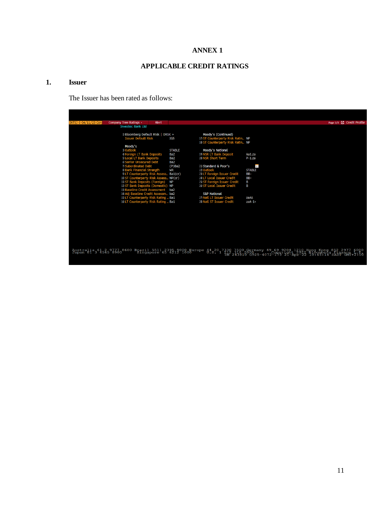### **ANNEX 1**

# **APPLICABLE CREDIT RATINGS**

### **1. Issuer**

The Issuer has been rated as follows:

| INTSJ 0 04/11/23 Cor | Company Tree Ratings +<br>Alert                               |                  |                                                           |                                                                                                                                                                                                                                   | Page 1/3 Z Credit Profile |
|----------------------|---------------------------------------------------------------|------------------|-----------------------------------------------------------|-----------------------------------------------------------------------------------------------------------------------------------------------------------------------------------------------------------------------------------|---------------------------|
|                      | <b>Investec Bank Ltd</b>                                      |                  |                                                           |                                                                                                                                                                                                                                   |                           |
|                      | 1) Bloomberg Default Risk   DRSK »                            |                  | Moody's (Continued)                                       |                                                                                                                                                                                                                                   |                           |
|                      | <b>Issuer Default Risk</b>                                    | IG5              | 17) ST Counterparty Risk Ratin NP                         |                                                                                                                                                                                                                                   |                           |
|                      |                                                               |                  | 18) ST Counterparty Risk Ratin NP                         |                                                                                                                                                                                                                                   |                           |
|                      | Moody's                                                       |                  |                                                           |                                                                                                                                                                                                                                   |                           |
|                      | 3) Outlook                                                    | <b>STABLE</b>    | Moody's National                                          |                                                                                                                                                                                                                                   |                           |
|                      | 4 Foreign LT Bank Deposits                                    | Ba2              | 19) NSR LT Bank Deposit                                   | Aa1.za                                                                                                                                                                                                                            |                           |
|                      | 5) Local LT Bank Deposits                                     | Ba2              | 20) NSR Short Term                                        | $P-1.za$                                                                                                                                                                                                                          |                           |
|                      | 6) Senior Unsecured Debt                                      | Ba2              |                                                           |                                                                                                                                                                                                                                   |                           |
|                      | 7) Subordinated Debt                                          | $(P)$ Ba2        | 21) Standard & Poor's                                     | $\blacksquare$                                                                                                                                                                                                                    |                           |
|                      | 8) Bank Financial Strength                                    | WR               | 22 Outlook                                                | <b>STABLE</b>                                                                                                                                                                                                                     |                           |
|                      | 9) LT Counterparty Risk Assess Ba1(cr)                        |                  | 23) LT Foreign Issuer Credit                              | BB-                                                                                                                                                                                                                               |                           |
|                      | 10 ST Counterparty Risk Ass<br>11) ST Bank Deposits (Foreign) | ess NP(cr)<br>NP | 24 LT Local Issuer Credit<br>25) ST Foreign Issuer Credit | BB-                                                                                                                                                                                                                               |                           |
|                      | 12) ST Bank Deposits (Domestic) NP                            |                  | 26) ST Local Issuer Credit                                | В<br>В                                                                                                                                                                                                                            |                           |
|                      | 13) Baseline Credit Assessment                                | ba <sub>2</sub>  |                                                           |                                                                                                                                                                                                                                   |                           |
|                      | 14 Adj Baseline Credit Assessm ba2                            |                  | <b>S&amp;P National</b>                                   |                                                                                                                                                                                                                                   |                           |
|                      | 15 LT Counterparty Risk Rating  Ba1                           |                  | 27) Natl LT Issuer Credit                                 | zaAA                                                                                                                                                                                                                              |                           |
|                      | 16 LT Counterparty Risk Rating  Ba1                           |                  | 28) Natl ST Issuer Credit                                 | $zaa-1+$                                                                                                                                                                                                                          |                           |
|                      |                                                               |                  |                                                           |                                                                                                                                                                                                                                   |                           |
|                      |                                                               |                  |                                                           |                                                                                                                                                                                                                                   |                           |
|                      |                                                               |                  |                                                           |                                                                                                                                                                                                                                   |                           |
|                      |                                                               |                  |                                                           |                                                                                                                                                                                                                                   |                           |
|                      |                                                               |                  |                                                           |                                                                                                                                                                                                                                   |                           |
|                      |                                                               |                  |                                                           |                                                                                                                                                                                                                                   |                           |
|                      |                                                               |                  |                                                           |                                                                                                                                                                                                                                   |                           |
|                      |                                                               |                  |                                                           |                                                                                                                                                                                                                                   |                           |
|                      |                                                               |                  |                                                           |                                                                                                                                                                                                                                   |                           |
|                      |                                                               |                  |                                                           |                                                                                                                                                                                                                                   |                           |
|                      |                                                               |                  |                                                           | Australia 61 2 9777 8600 Brazil 5511 2395 9000 Europe 44 20 7330 7500 Germany 49 69 9204 1210 Hong Kong 852 2977 6000<br>Japan 81 3 4565 8900 Singapore 65 6212 1000 0 38 1 212 2418 0 2000 2017 2020 1214 2022 B100mberg Finance |                           |
|                      |                                                               |                  |                                                           |                                                                                                                                                                                                                                   |                           |
|                      |                                                               |                  |                                                           |                                                                                                                                                                                                                                   |                           |